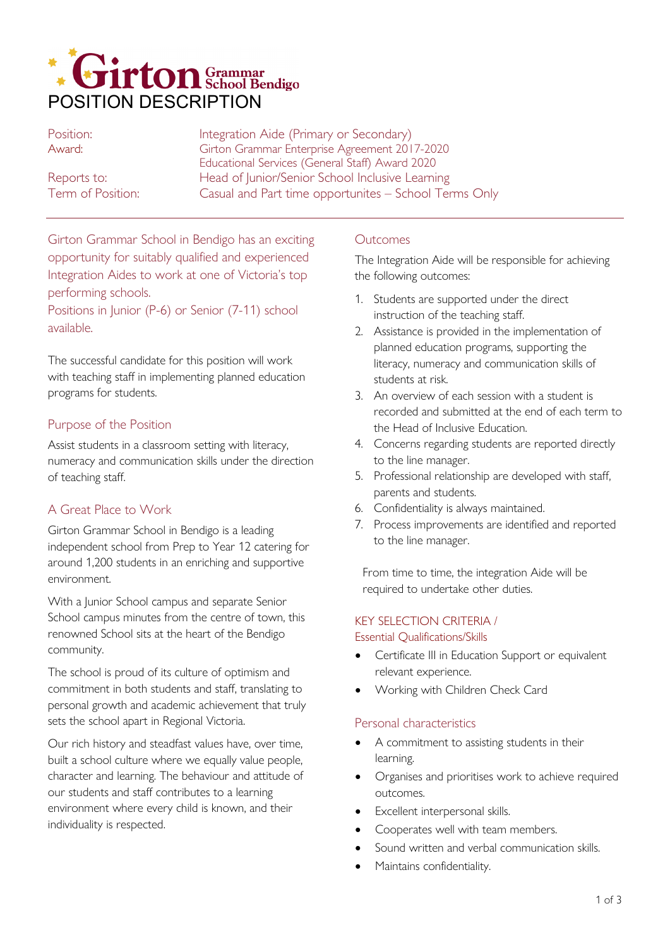

| Position:         | Integration Aide (Primary or Secondary)               |
|-------------------|-------------------------------------------------------|
| Award:            | Girton Grammar Enterprise Agreement 2017-2020         |
|                   | Educational Services (General Staff) Award 2020       |
| Reports to:       | Head of Junior/Senior School Inclusive Learning       |
| Term of Position: | Casual and Part time opportunites - School Terms Only |

Girton Grammar School in Bendigo has an exciting opportunity for suitably qualified and experienced Integration Aides to work at one of Victoria's top performing schools.

Positions in Junior (P-6) or Senior (7-11) school available.

The successful candidate for this position will work with teaching staff in implementing planned education programs for students.

### Purpose of the Position

Assist students in a classroom setting with literacy, numeracy and communication skills under the direction of teaching staff.

# A Great Place to Work

Girton Grammar School in Bendigo is a leading independent school from Prep to Year 12 catering for around 1,200 students in an enriching and supportive environment.

With a Junior School campus and separate Senior School campus minutes from the centre of town, this renowned School sits at the heart of the Bendigo community.

The school is proud of its culture of optimism and commitment in both students and staff, translating to personal growth and academic achievement that truly sets the school apart in Regional Victoria.

Our rich history and steadfast values have, over time, built a school culture where we equally value people, character and learning. The behaviour and attitude of our students and staff contributes to a learning environment where every child is known, and their individuality is respected.

### **Outcomes**

The Integration Aide will be responsible for achieving the following outcomes:

- 1. Students are supported under the direct instruction of the teaching staff.
- 2. Assistance is provided in the implementation of planned education programs, supporting the literacy, numeracy and communication skills of students at risk.
- 3. An overview of each session with a student is recorded and submitted at the end of each term to the Head of Inclusive Education.
- 4. Concerns regarding students are reported directly to the line manager.
- 5. Professional relationship are developed with staff, parents and students.
- 6. Confidentiality is always maintained.
- 7. Process improvements are identified and reported to the line manager.

From time to time, the integration Aide will be required to undertake other duties.

# KEY SELECTION CRITERIA /

#### Essential Qualifications/Skills

- Certificate III in Education Support or equivalent relevant experience.
- Working with Children Check Card

### Personal characteristics

- A commitment to assisting students in their learning.
- Organises and prioritises work to achieve required outcomes.
- Excellent interpersonal skills.
- Cooperates well with team members.
- Sound written and verbal communication skills.
- Maintains confidentiality.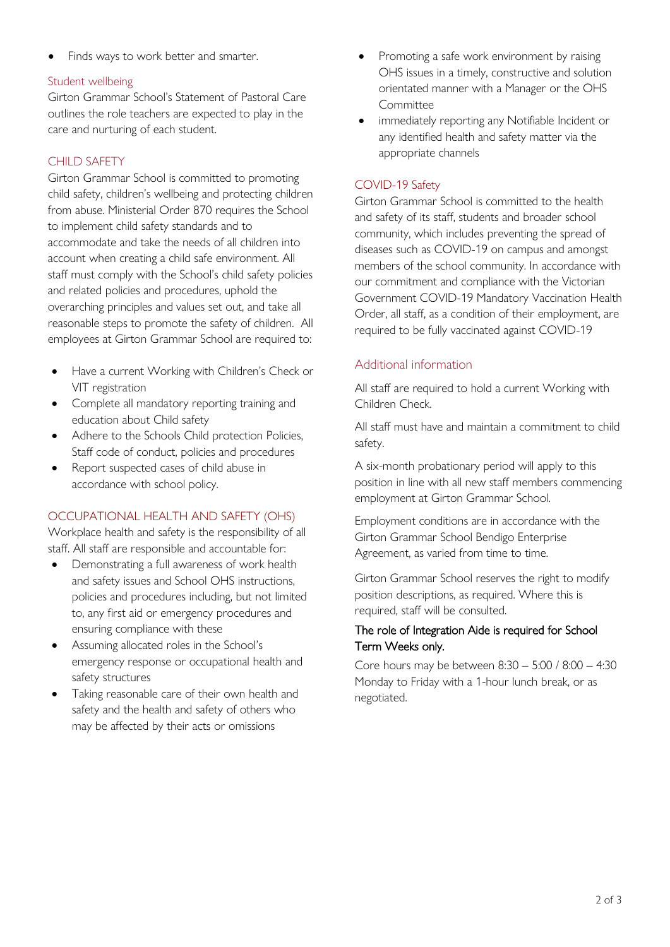• Finds ways to work better and smarter.

### Student wellbeing

Girton Grammar School's Statement of Pastoral Care outlines the role teachers are expected to play in the care and nurturing of each student.

## CHILD SAFETY

Girton Grammar School is committed to promoting child safety, children's wellbeing and protecting children from abuse. Ministerial Order 870 requires the School to implement child safety standards and to accommodate and take the needs of all children into account when creating a child safe environment. All staff must comply with the School's child safety policies and related policies and procedures, uphold the overarching principles and values set out, and take all reasonable steps to promote the safety of children. All employees at Girton Grammar School are required to:

- Have a current Working with Children's Check or VIT registration
- Complete all mandatory reporting training and education about Child safety
- Adhere to the Schools Child protection Policies, Staff code of conduct, policies and procedures
- Report suspected cases of child abuse in accordance with school policy.

### OCCUPATIONAL HEALTH AND SAFETY (OHS)

Workplace health and safety is the responsibility of all staff. All staff are responsible and accountable for:

- Demonstrating a full awareness of work health and safety issues and School OHS instructions, policies and procedures including, but not limited to, any first aid or emergency procedures and ensuring compliance with these
- Assuming allocated roles in the School's emergency response or occupational health and safety structures
- Taking reasonable care of their own health and safety and the health and safety of others who may be affected by their acts or omissions
- Promoting a safe work environment by raising OHS issues in a timely, constructive and solution orientated manner with a Manager or the OHS Committee
- immediately reporting any Notifiable Incident or any identified health and safety matter via the appropriate channels

### COVID-19 Safety

Girton Grammar School is committed to the health and safety of its staff, students and broader school community, which includes preventing the spread of diseases such as COVID-19 on campus and amongst members of the school community. In accordance with our commitment and compliance with the Victorian Government COVID-19 Mandatory Vaccination Health Order, all staff, as a condition of their employment, are required to be fully vaccinated against COVID-19

# Additional information

All staff are required to hold a current Working with Children Check.

All staff must have and maintain a commitment to child safety.

A six-month probationary period will apply to this position in line with all new staff members commencing employment at Girton Grammar School.

Employment conditions are in accordance with the Girton Grammar School Bendigo Enterprise Agreement, as varied from time to time.

Girton Grammar School reserves the right to modify position descriptions, as required. Where this is required, staff will be consulted.

#### The role of Integration Aide is required for School Term Weeks only.

Core hours may be between 8:30 – 5:00 / 8:00 – 4:30 Monday to Friday with a 1-hour lunch break, or as negotiated.